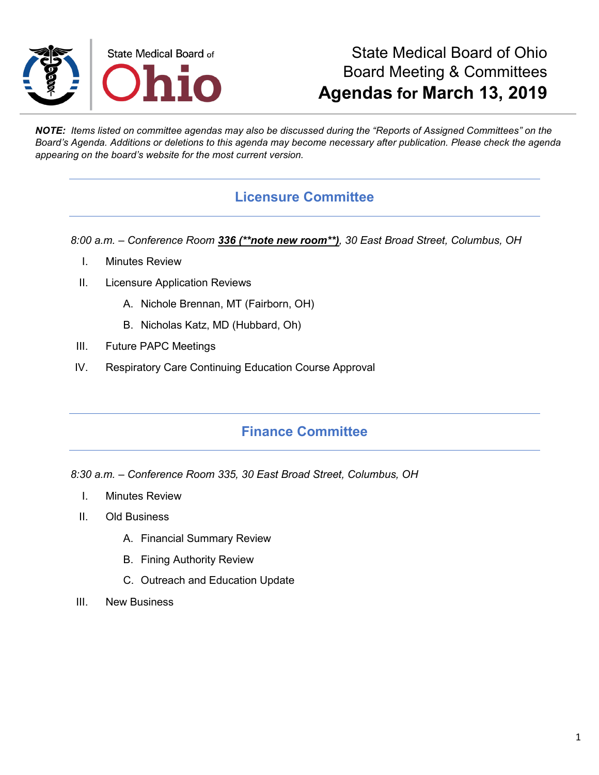

## State Medical Board of Ohio Board Meeting & Committees **Agendas for March 13, 2019**

*NOTE: Items listed on committee agendas may also be discussed during the "Reports of Assigned Committees" on the Board's Agenda. Additions or deletions to this agenda may become necessary after publication. Please check the agenda appearing on the board's website for the most current version.*

#### **Licensure Committee**

*8:00 a.m. – Conference Room 336 (\*\*note new room\*\*), 30 East Broad Street, Columbus, OH*

- I. Minutes Review
- II. Licensure Application Reviews
	- A. Nichole Brennan, MT (Fairborn, OH)
	- B. Nicholas Katz, MD (Hubbard, Oh)
- III. Future PAPC Meetings
- IV. Respiratory Care Continuing Education Course Approval

### **Finance Committee**

*8:30 a.m. – Conference Room 335, 30 East Broad Street, Columbus, OH*

- I. Minutes Review
- II. Old Business
	- A. Financial Summary Review
	- B. Fining Authority Review
	- C. Outreach and Education Update
- III. New Business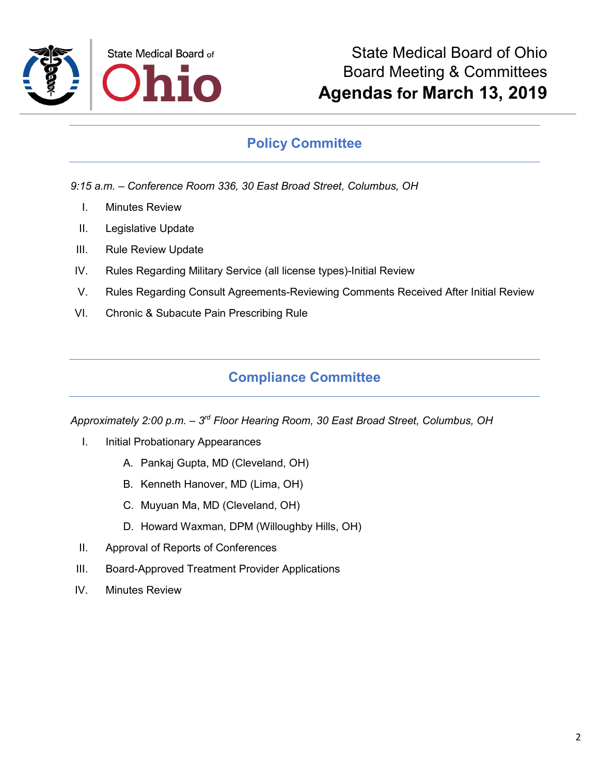

### **Policy Committee**

*9:15 a.m. – Conference Room 336, 30 East Broad Street, Columbus, OH*

- I. Minutes Review
- II. Legislative Update
- III. Rule Review Update
- IV. Rules Regarding Military Service (all license types)-Initial Review
- V. Rules Regarding Consult Agreements-Reviewing Comments Received After Initial Review
- VI. Chronic & Subacute Pain Prescribing Rule

## **Compliance Committee**

*Approximately 2:00 p.m. – 3rd Floor Hearing Room, 30 East Broad Street, Columbus, OH*

- I. Initial Probationary Appearances
	- A. Pankaj Gupta, MD (Cleveland, OH)
	- B. Kenneth Hanover, MD (Lima, OH)
	- C. Muyuan Ma, MD (Cleveland, OH)
	- D. Howard Waxman, DPM (Willoughby Hills, OH)
- II. Approval of Reports of Conferences
- III. Board-Approved Treatment Provider Applications
- IV. Minutes Review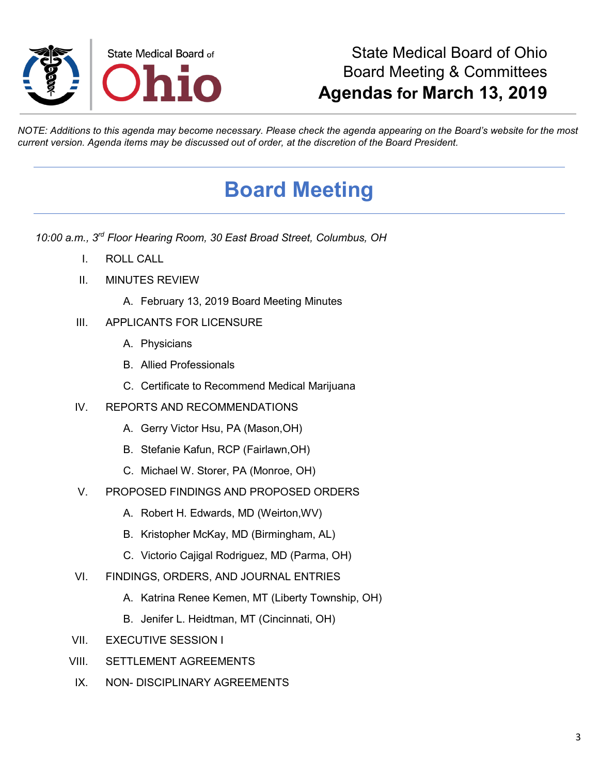

## State Medical Board of Ohio Board Meeting & Committees **Agendas for March 13, 2019**

*NOTE: Additions to this agenda may become necessary. Please check the agenda appearing on the Board's website for the most current version. Agenda items may be discussed out of order, at the discretion of the Board President.*

# **Board Meeting**

*10:00 a.m., 3rd Floor Hearing Room, 30 East Broad Street, Columbus, OH*

- I. ROLL CALL
- II. MINUTES REVIEW
	- A. February 13, 2019 Board Meeting Minutes
- III. APPLICANTS FOR LICENSURE
	- A. Physicians
	- B. Allied Professionals
	- C. Certificate to Recommend Medical Marijuana
- IV. REPORTS AND RECOMMENDATIONS
	- A. Gerry Victor Hsu, PA (Mason,OH)
	- B. Stefanie Kafun, RCP (Fairlawn,OH)
	- C. Michael W. Storer, PA (Monroe, OH)
- V. PROPOSED FINDINGS AND PROPOSED ORDERS
	- A. Robert H. Edwards, MD (Weirton,WV)
	- B. Kristopher McKay, MD (Birmingham, AL)
	- C. Victorio Cajigal Rodriguez, MD (Parma, OH)
- VI. FINDINGS, ORDERS, AND JOURNAL ENTRIES
	- A. Katrina Renee Kemen, MT (Liberty Township, OH)
	- B. Jenifer L. Heidtman, MT (Cincinnati, OH)
- VII. EXECUTIVE SESSION I
- VIII. SETTLEMENT AGREEMENTS
- IX NON- DISCIPLINARY AGREEMENTS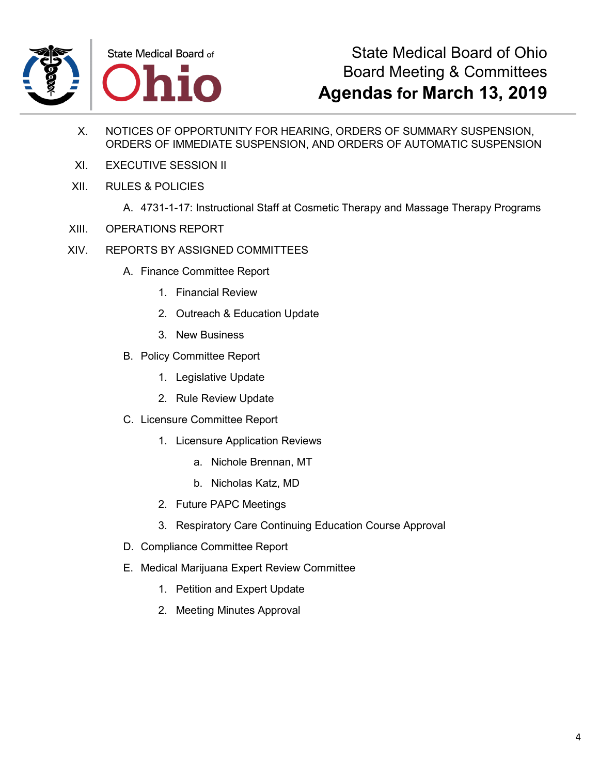

## State Medical Board of Ohio Board Meeting & Committees **Agendas for March 13, 2019**

- X. NOTICES OF OPPORTUNITY FOR HEARING, ORDERS OF SUMMARY SUSPENSION, ORDERS OF IMMEDIATE SUSPENSION, AND ORDERS OF AUTOMATIC SUSPENSION
- XI. EXECUTIVE SESSION II
- XII. RULES & POLICIES
	- A. 4731-1-17: Instructional Staff at Cosmetic Therapy and Massage Therapy Programs
- XIII. OPERATIONS REPORT
- XIV. REPORTS BY ASSIGNED COMMITTEES
	- A. Finance Committee Report
		- 1. Financial Review
		- 2. Outreach & Education Update
		- 3. New Business
	- B. Policy Committee Report
		- 1. Legislative Update
		- 2. Rule Review Update
	- C. Licensure Committee Report
		- 1. Licensure Application Reviews
			- a. Nichole Brennan, MT
			- b. Nicholas Katz, MD
		- 2. Future PAPC Meetings
		- 3. Respiratory Care Continuing Education Course Approval
	- D. Compliance Committee Report
	- E. Medical Marijuana Expert Review Committee
		- 1. Petition and Expert Update
		- 2. Meeting Minutes Approval